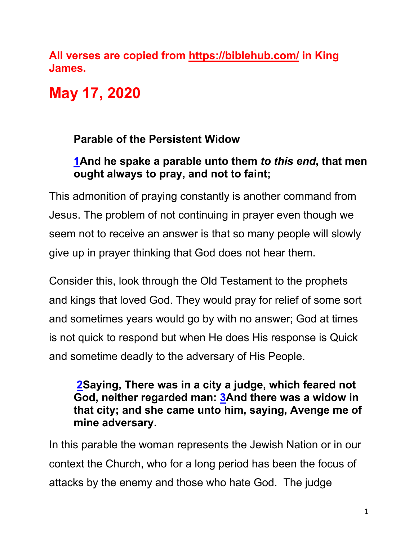**All verses are copied from https://biblehub.com/ in King James.** 

# **May 17, 2020**

## **Parable of the Persistent Widow**

#### **1And he spake a parable unto them** *to this end***, that men ought always to pray, and not to faint;**

This admonition of praying constantly is another command from Jesus. The problem of not continuing in prayer even though we seem not to receive an answer is that so many people will slowly give up in prayer thinking that God does not hear them.

Consider this, look through the Old Testament to the prophets and kings that loved God. They would pray for relief of some sort and sometimes years would go by with no answer; God at times is not quick to respond but when He does His response is Quick and sometime deadly to the adversary of His People.

#### **2Saying, There was in a city a judge, which feared not God, neither regarded man: 3And there was a widow in that city; and she came unto him, saying, Avenge me of mine adversary.**

In this parable the woman represents the Jewish Nation or in our context the Church, who for a long period has been the focus of attacks by the enemy and those who hate God. The judge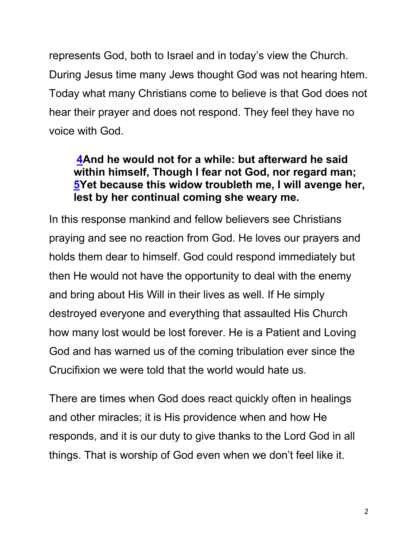represents God, both to Israel and in today's view the Church. During Jesus time many Jews thought God was not hearing htem. Today what many Christians come to believe is that God does not hear their prayer and does not respond. They feel they have no voice with God.

#### **4And he would not for a while: but afterward he said within himself, Though I fear not God, nor regard man; 5Yet because this widow troubleth me, I will avenge her, lest by her continual coming she weary me.**

In this response mankind and fellow believers see Christians praying and see no reaction from God. He loves our prayers and holds them dear to himself. God could respond immediately but then He would not have the opportunity to deal with the enemy and bring about His Will in their lives as well. If He simply destroyed everyone and everything that assaulted His Church how many lost would be lost forever. He is a Patient and Loving God and has warned us of the coming tribulation ever since the Crucifixion we were told that the world would hate us.

There are times when God does react quickly often in healings and other miracles; it is His providence when and how He responds, and it is our duty to give thanks to the Lord God in all things. That is worship of God even when we don't feel like it.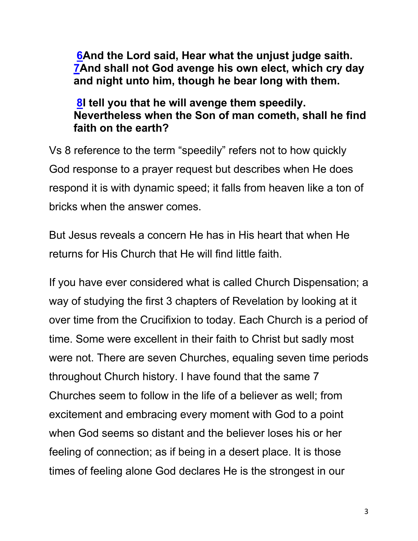**6And the Lord said, Hear what the unjust judge saith. 7And shall not God avenge his own elect, which cry day and night unto him, though he bear long with them.**

#### **8I tell you that he will avenge them speedily. Nevertheless when the Son of man cometh, shall he find faith on the earth?**

Vs 8 reference to the term "speedily" refers not to how quickly God response to a prayer request but describes when He does respond it is with dynamic speed; it falls from heaven like a ton of bricks when the answer comes.

But Jesus reveals a concern He has in His heart that when He returns for His Church that He will find little faith.

If you have ever considered what is called Church Dispensation; a way of studying the first 3 chapters of Revelation by looking at it over time from the Crucifixion to today. Each Church is a period of time. Some were excellent in their faith to Christ but sadly most were not. There are seven Churches, equaling seven time periods throughout Church history. I have found that the same 7 Churches seem to follow in the life of a believer as well; from excitement and embracing every moment with God to a point when God seems so distant and the believer loses his or her feeling of connection; as if being in a desert place. It is those times of feeling alone God declares He is the strongest in our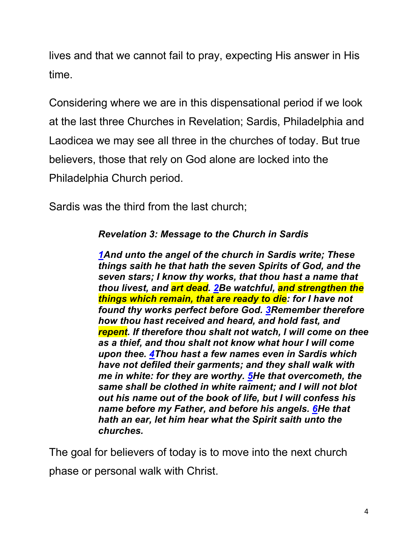lives and that we cannot fail to pray, expecting His answer in His time.

Considering where we are in this dispensational period if we look at the last three Churches in Revelation; Sardis, Philadelphia and Laodicea we may see all three in the churches of today. But true believers, those that rely on God alone are locked into the Philadelphia Church period.

Sardis was the third from the last church;

*Revelation 3: Message to the Church in Sardis*

*1And unto the angel of the church in Sardis write; These things saith he that hath the seven Spirits of God, and the seven stars; I know thy works, that thou hast a name that thou livest, and art dead. 2Be watchful, and strengthen the things which remain, that are ready to die: for I have not found thy works perfect before God. 3Remember therefore how thou hast received and heard, and hold fast, and repent. If therefore thou shalt not watch, I will come on thee as a thief, and thou shalt not know what hour I will come upon thee. 4Thou hast a few names even in Sardis which have not defiled their garments; and they shall walk with me in white: for they are worthy. 5He that overcometh, the same shall be clothed in white raiment; and I will not blot out his name out of the book of life, but I will confess his name before my Father, and before his angels. 6He that hath an ear, let him hear what the Spirit saith unto the churches.*

The goal for believers of today is to move into the next church phase or personal walk with Christ.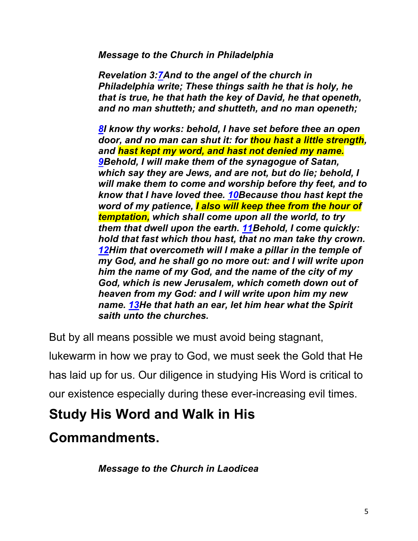*Message to the Church in Philadelphia*

*Revelation 3:7And to the angel of the church in Philadelphia write; These things saith he that is holy, he that is true, he that hath the key of David, he that openeth, and no man shutteth; and shutteth, and no man openeth;*

*8I know thy works: behold, I have set before thee an open door, and no man can shut it: for thou hast a little strength, and hast kept my word, and hast not denied my name. 9Behold, I will make them of the synagogue of Satan, which say they are Jews, and are not, but do lie; behold, I will make them to come and worship before thy feet, and to know that I have loved thee. 10Because thou hast kept the word of my patience, I also will keep thee from the hour of temptation, which shall come upon all the world, to try them that dwell upon the earth. 11Behold, I come quickly: hold that fast which thou hast, that no man take thy crown. 12Him that overcometh will I make a pillar in the temple of my God, and he shall go no more out: and I will write upon him the name of my God, and the name of the city of my God, which is new Jerusalem, which cometh down out of heaven from my God: and I will write upon him my new name. 13He that hath an ear, let him hear what the Spirit saith unto the churches.*

But by all means possible we must avoid being stagnant,

lukewarm in how we pray to God, we must seek the Gold that He has laid up for us. Our diligence in studying His Word is critical to our existence especially during these ever-increasing evil times.

# **Study His Word and Walk in His**

# **Commandments.**

*Message to the Church in Laodicea*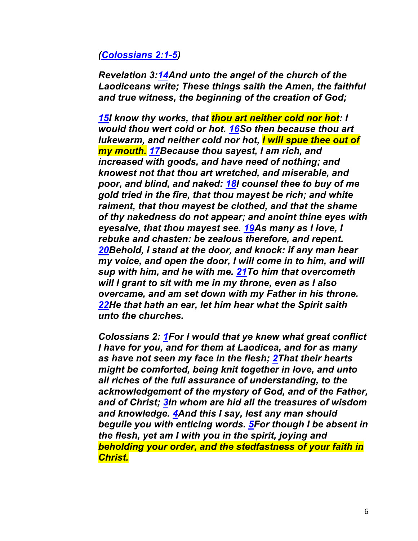#### *(Colossians 2:1-5)*

*Revelation 3:14And unto the angel of the church of the Laodiceans write; These things saith the Amen, the faithful and true witness, the beginning of the creation of God;*

*15I know thy works, that thou art neither cold nor hot: I would thou wert cold or hot. 16So then because thou art lukewarm, and neither cold nor hot, I will spue thee out of my mouth. 17Because thou sayest, I am rich, and increased with goods, and have need of nothing; and knowest not that thou art wretched, and miserable, and poor, and blind, and naked: 18I counsel thee to buy of me gold tried in the fire, that thou mayest be rich; and white raiment, that thou mayest be clothed, and that the shame of thy nakedness do not appear; and anoint thine eyes with eyesalve, that thou mayest see. 19As many as I love, I rebuke and chasten: be zealous therefore, and repent. 20Behold, I stand at the door, and knock: if any man hear my voice, and open the door, I will come in to him, and will sup with him, and he with me. 21To him that overcometh will I grant to sit with me in my throne, even as I also overcame, and am set down with my Father in his throne. 22He that hath an ear, let him hear what the Spirit saith unto the churches.*

*Colossians 2: 1For I would that ye knew what great conflict I have for you, and for them at Laodicea, and for as many as have not seen my face in the flesh; 2That their hearts might be comforted, being knit together in love, and unto all riches of the full assurance of understanding, to the acknowledgement of the mystery of God, and of the Father, and of Christ; 3In whom are hid all the treasures of wisdom and knowledge. 4And this I say, lest any man should beguile you with enticing words. 5For though I be absent in the flesh, yet am I with you in the spirit, joying and beholding your order, and the stedfastness of your faith in Christ.*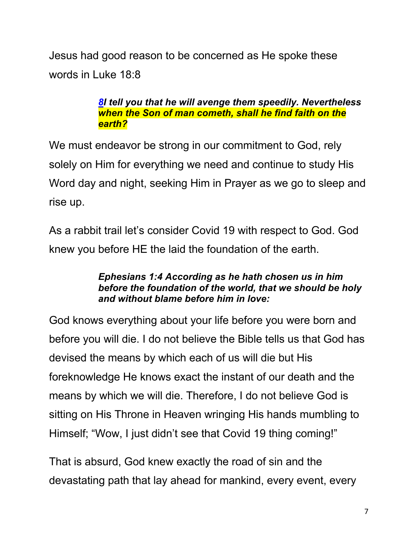Jesus had good reason to be concerned as He spoke these words in Luke 18:8

#### *8I tell you that he will avenge them speedily. Nevertheless when the Son of man cometh, shall he find faith on the earth?*

We must endeavor be strong in our commitment to God, rely solely on Him for everything we need and continue to study His Word day and night, seeking Him in Prayer as we go to sleep and rise up.

As a rabbit trail let's consider Covid 19 with respect to God. God knew you before HE the laid the foundation of the earth.

#### *Ephesians 1:4 According as he hath chosen us in him before the foundation of the world, that we should be holy and without blame before him in love:*

God knows everything about your life before you were born and before you will die. I do not believe the Bible tells us that God has devised the means by which each of us will die but His foreknowledge He knows exact the instant of our death and the means by which we will die. Therefore, I do not believe God is sitting on His Throne in Heaven wringing His hands mumbling to Himself; "Wow, I just didn't see that Covid 19 thing coming!"

That is absurd, God knew exactly the road of sin and the devastating path that lay ahead for mankind, every event, every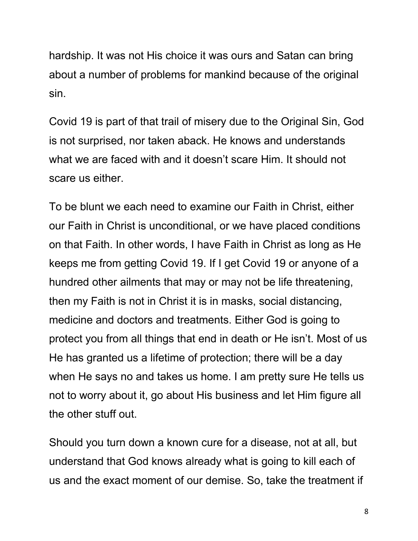hardship. It was not His choice it was ours and Satan can bring about a number of problems for mankind because of the original sin.

Covid 19 is part of that trail of misery due to the Original Sin, God is not surprised, nor taken aback. He knows and understands what we are faced with and it doesn't scare Him. It should not scare us either.

To be blunt we each need to examine our Faith in Christ, either our Faith in Christ is unconditional, or we have placed conditions on that Faith. In other words, I have Faith in Christ as long as He keeps me from getting Covid 19. If I get Covid 19 or anyone of a hundred other ailments that may or may not be life threatening, then my Faith is not in Christ it is in masks, social distancing, medicine and doctors and treatments. Either God is going to protect you from all things that end in death or He isn't. Most of us He has granted us a lifetime of protection; there will be a day when He says no and takes us home. I am pretty sure He tells us not to worry about it, go about His business and let Him figure all the other stuff out.

Should you turn down a known cure for a disease, not at all, but understand that God knows already what is going to kill each of us and the exact moment of our demise. So, take the treatment if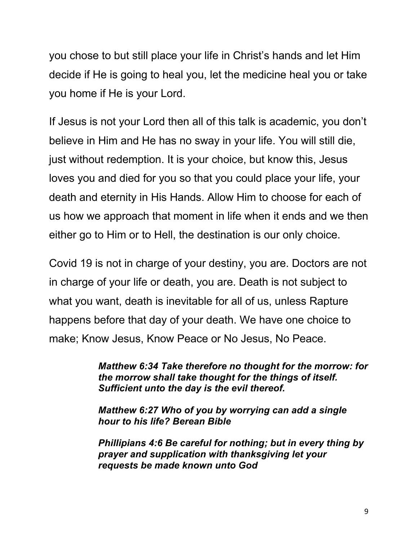you chose to but still place your life in Christ's hands and let Him decide if He is going to heal you, let the medicine heal you or take you home if He is your Lord.

If Jesus is not your Lord then all of this talk is academic, you don't believe in Him and He has no sway in your life. You will still die, just without redemption. It is your choice, but know this, Jesus loves you and died for you so that you could place your life, your death and eternity in His Hands. Allow Him to choose for each of us how we approach that moment in life when it ends and we then either go to Him or to Hell, the destination is our only choice.

Covid 19 is not in charge of your destiny, you are. Doctors are not in charge of your life or death, you are. Death is not subject to what you want, death is inevitable for all of us, unless Rapture happens before that day of your death. We have one choice to make; Know Jesus, Know Peace or No Jesus, No Peace.

> *Matthew 6:34 Take therefore no thought for the morrow: for the morrow shall take thought for the things of itself. Sufficient unto the day is the evil thereof.*

*Matthew 6:27 Who of you by worrying can add a single hour to his life? Berean Bible*

*Phillipians 4:6 Be careful for nothing; but in every thing by prayer and supplication with thanksgiving let your requests be made known unto God*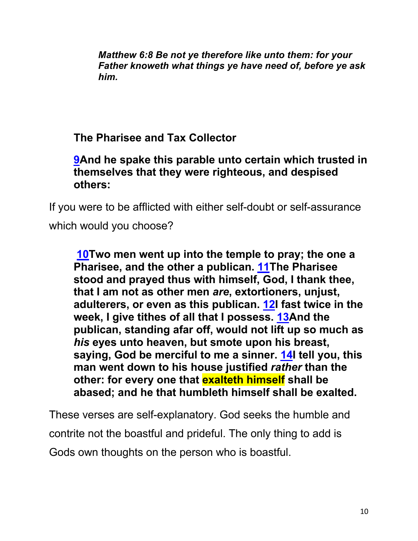*Matthew 6:8 Be not ye therefore like unto them: for your Father knoweth what things ye have need of, before ye ask him.*

## **The Pharisee and Tax Collector**

#### **9And he spake this parable unto certain which trusted in themselves that they were righteous, and despised others:**

If you were to be afflicted with either self-doubt or self-assurance which would you choose?

**10Two men went up into the temple to pray; the one a Pharisee, and the other a publican. 11The Pharisee stood and prayed thus with himself, God, I thank thee, that I am not as other men** *are***, extortioners, unjust, adulterers, or even as this publican. 12I fast twice in the week, I give tithes of all that I possess. 13And the publican, standing afar off, would not lift up so much as**  *his* **eyes unto heaven, but smote upon his breast, saying, God be merciful to me a sinner. 14I tell you, this man went down to his house justified** *rather* **than the other: for every one that exalteth himself shall be abased; and he that humbleth himself shall be exalted.**

These verses are self-explanatory. God seeks the humble and contrite not the boastful and prideful. The only thing to add is Gods own thoughts on the person who is boastful.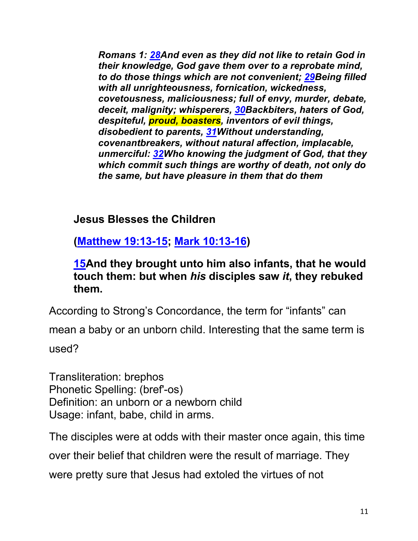*Romans 1: 28And even as they did not like to retain God in their knowledge, God gave them over to a reprobate mind, to do those things which are not convenient; 29Being filled with all unrighteousness, fornication, wickedness, covetousness, maliciousness; full of envy, murder, debate, deceit, malignity; whisperers, 30Backbiters, haters of God, despiteful, proud, boasters, inventors of evil things, disobedient to parents, 31Without understanding, covenantbreakers, without natural affection, implacable, unmerciful: 32Who knowing the judgment of God, that they which commit such things are worthy of death, not only do the same, but have pleasure in them that do them*

#### **Jesus Blesses the Children**

**(Matthew 19:13-15; Mark 10:13-16)**

**15And they brought unto him also infants, that he would touch them: but when** *his* **disciples saw** *it***, they rebuked them.**

According to Strong's Concordance, the term for "infants" can

mean a baby or an unborn child. Interesting that the same term is used?

Transliteration: brephos Phonetic Spelling: (bref'-os) Definition: an unborn or a newborn child Usage: infant, babe, child in arms.

The disciples were at odds with their master once again, this time

over their belief that children were the result of marriage. They

were pretty sure that Jesus had extoled the virtues of not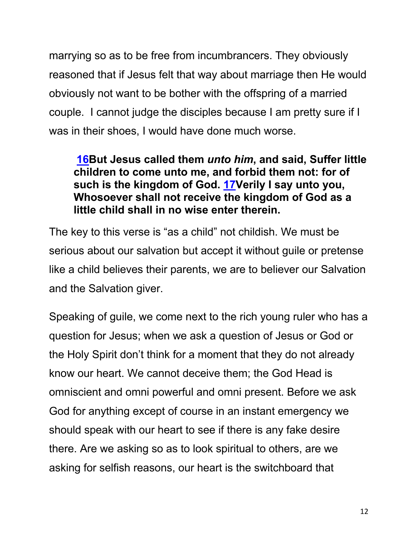marrying so as to be free from incumbrancers. They obviously reasoned that if Jesus felt that way about marriage then He would obviously not want to be bother with the offspring of a married couple. I cannot judge the disciples because I am pretty sure if I was in their shoes, I would have done much worse.

#### **16But Jesus called them** *unto him***, and said, Suffer little children to come unto me, and forbid them not: for of such is the kingdom of God. 17Verily I say unto you, Whosoever shall not receive the kingdom of God as a little child shall in no wise enter therein.**

The key to this verse is "as a child" not childish. We must be serious about our salvation but accept it without guile or pretense like a child believes their parents, we are to believer our Salvation and the Salvation giver.

Speaking of guile, we come next to the rich young ruler who has a question for Jesus; when we ask a question of Jesus or God or the Holy Spirit don't think for a moment that they do not already know our heart. We cannot deceive them; the God Head is omniscient and omni powerful and omni present. Before we ask God for anything except of course in an instant emergency we should speak with our heart to see if there is any fake desire there. Are we asking so as to look spiritual to others, are we asking for selfish reasons, our heart is the switchboard that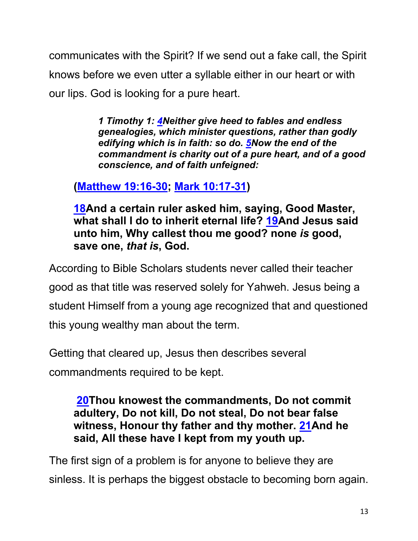communicates with the Spirit? If we send out a fake call, the Spirit knows before we even utter a syllable either in our heart or with our lips. God is looking for a pure heart.

> *1 Timothy 1: 4Neither give heed to fables and endless genealogies, which minister questions, rather than godly edifying which is in faith: so do. 5Now the end of the commandment is charity out of a pure heart, and of a good conscience, and of faith unfeigned:*

**(Matthew 19:16-30; Mark 10:17-31)**

**18And a certain ruler asked him, saying, Good Master, what shall I do to inherit eternal life? 19And Jesus said unto him, Why callest thou me good? none** *is* **good, save one,** *that is***, God.**

According to Bible Scholars students never called their teacher good as that title was reserved solely for Yahweh. Jesus being a student Himself from a young age recognized that and questioned this young wealthy man about the term.

Getting that cleared up, Jesus then describes several

commandments required to be kept.

**20Thou knowest the commandments, Do not commit adultery, Do not kill, Do not steal, Do not bear false witness, Honour thy father and thy mother. 21And he said, All these have I kept from my youth up.**

The first sign of a problem is for anyone to believe they are sinless. It is perhaps the biggest obstacle to becoming born again.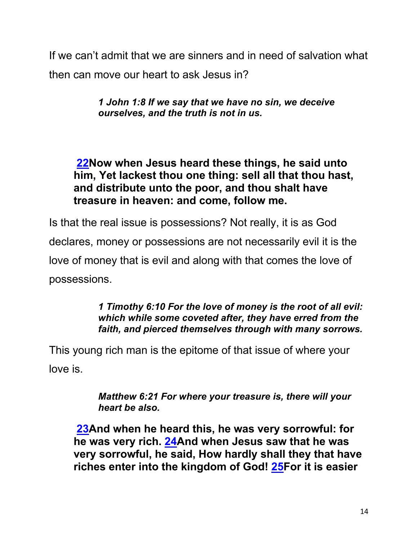If we can't admit that we are sinners and in need of salvation what then can move our heart to ask Jesus in?

> *1 John 1:8 If we say that we have no sin, we deceive ourselves, and the truth is not in us.*

**22Now when Jesus heard these things, he said unto him, Yet lackest thou one thing: sell all that thou hast, and distribute unto the poor, and thou shalt have treasure in heaven: and come, follow me.**

Is that the real issue is possessions? Not really, it is as God declares, money or possessions are not necessarily evil it is the love of money that is evil and along with that comes the love of possessions.

> *1 Timothy 6:10 For the love of money is the root of all evil: which while some coveted after, they have erred from the faith, and pierced themselves through with many sorrows.*

This young rich man is the epitome of that issue of where your love is.

> *Matthew 6:21 For where your treasure is, there will your heart be also.*

**23And when he heard this, he was very sorrowful: for he was very rich. 24And when Jesus saw that he was very sorrowful, he said, How hardly shall they that have riches enter into the kingdom of God! 25For it is easier**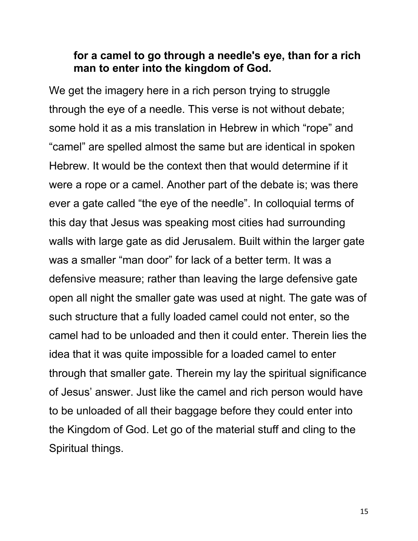#### **for a camel to go through a needle's eye, than for a rich man to enter into the kingdom of God.**

We get the imagery here in a rich person trying to struggle through the eye of a needle. This verse is not without debate; some hold it as a mis translation in Hebrew in which "rope" and "camel" are spelled almost the same but are identical in spoken Hebrew. It would be the context then that would determine if it were a rope or a camel. Another part of the debate is; was there ever a gate called "the eye of the needle". In colloquial terms of this day that Jesus was speaking most cities had surrounding walls with large gate as did Jerusalem. Built within the larger gate was a smaller "man door" for lack of a better term. It was a defensive measure; rather than leaving the large defensive gate open all night the smaller gate was used at night. The gate was of such structure that a fully loaded camel could not enter, so the camel had to be unloaded and then it could enter. Therein lies the idea that it was quite impossible for a loaded camel to enter through that smaller gate. Therein my lay the spiritual significance of Jesus' answer. Just like the camel and rich person would have to be unloaded of all their baggage before they could enter into the Kingdom of God. Let go of the material stuff and cling to the Spiritual things.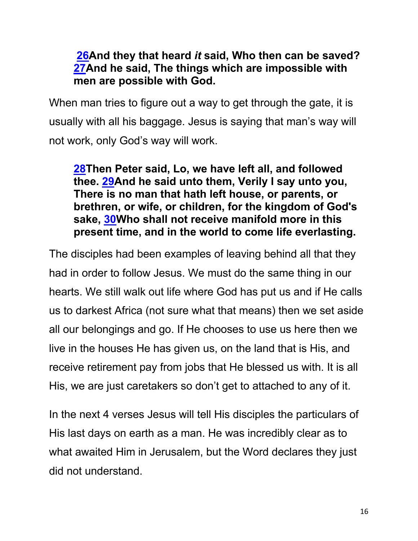#### **26And they that heard** *it* **said, Who then can be saved? 27And he said, The things which are impossible with men are possible with God.**

When man tries to figure out a way to get through the gate, it is usually with all his baggage. Jesus is saying that man's way will not work, only God's way will work.

**28Then Peter said, Lo, we have left all, and followed thee. 29And he said unto them, Verily I say unto you, There is no man that hath left house, or parents, or brethren, or wife, or children, for the kingdom of God's sake, 30Who shall not receive manifold more in this present time, and in the world to come life everlasting.**

The disciples had been examples of leaving behind all that they had in order to follow Jesus. We must do the same thing in our hearts. We still walk out life where God has put us and if He calls us to darkest Africa (not sure what that means) then we set aside all our belongings and go. If He chooses to use us here then we live in the houses He has given us, on the land that is His, and receive retirement pay from jobs that He blessed us with. It is all His, we are just caretakers so don't get to attached to any of it.

In the next 4 verses Jesus will tell His disciples the particulars of His last days on earth as a man. He was incredibly clear as to what awaited Him in Jerusalem, but the Word declares they just did not understand.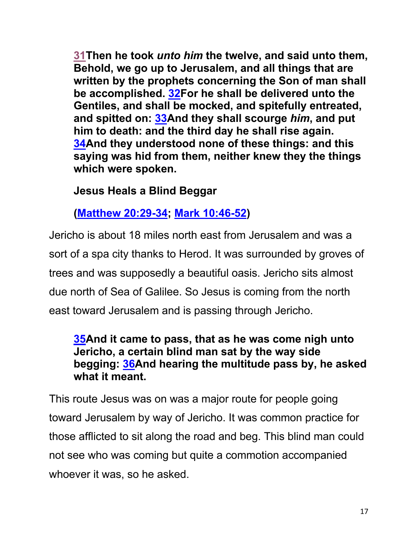**31Then he took** *unto him* **the twelve, and said unto them, Behold, we go up to Jerusalem, and all things that are written by the prophets concerning the Son of man shall be accomplished. 32For he shall be delivered unto the Gentiles, and shall be mocked, and spitefully entreated, and spitted on: 33And they shall scourge** *him***, and put him to death: and the third day he shall rise again. 34And they understood none of these things: and this saying was hid from them, neither knew they the things which were spoken.**

#### **Jesus Heals a Blind Beggar**

**(Matthew 20:29-34; Mark 10:46-52)**

Jericho is about 18 miles north east from Jerusalem and was a sort of a spa city thanks to Herod. It was surrounded by groves of trees and was supposedly a beautiful oasis. Jericho sits almost due north of Sea of Galilee. So Jesus is coming from the north east toward Jerusalem and is passing through Jericho.

#### **35And it came to pass, that as he was come nigh unto Jericho, a certain blind man sat by the way side begging: 36And hearing the multitude pass by, he asked what it meant.**

This route Jesus was on was a major route for people going toward Jerusalem by way of Jericho. It was common practice for those afflicted to sit along the road and beg. This blind man could not see who was coming but quite a commotion accompanied whoever it was, so he asked.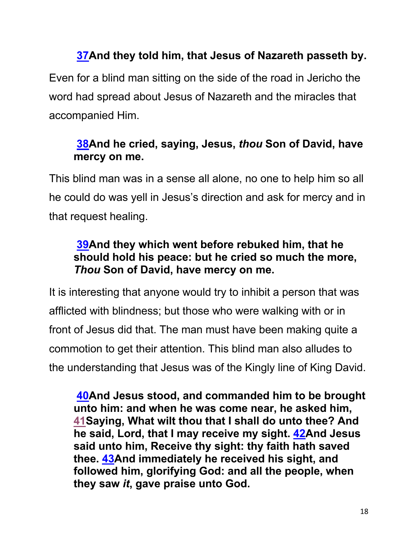### **37And they told him, that Jesus of Nazareth passeth by.**

Even for a blind man sitting on the side of the road in Jericho the word had spread about Jesus of Nazareth and the miracles that accompanied Him.

### **38And he cried, saying, Jesus,** *thou* **Son of David, have mercy on me.**

This blind man was in a sense all alone, no one to help him so all he could do was yell in Jesus's direction and ask for mercy and in that request healing.

#### **39And they which went before rebuked him, that he should hold his peace: but he cried so much the more,**  *Thou* **Son of David, have mercy on me.**

It is interesting that anyone would try to inhibit a person that was afflicted with blindness; but those who were walking with or in front of Jesus did that. The man must have been making quite a commotion to get their attention. This blind man also alludes to the understanding that Jesus was of the Kingly line of King David.

**40And Jesus stood, and commanded him to be brought unto him: and when he was come near, he asked him, 41Saying, What wilt thou that I shall do unto thee? And he said, Lord, that I may receive my sight. 42And Jesus said unto him, Receive thy sight: thy faith hath saved thee. 43And immediately he received his sight, and followed him, glorifying God: and all the people, when they saw** *it***, gave praise unto God.**